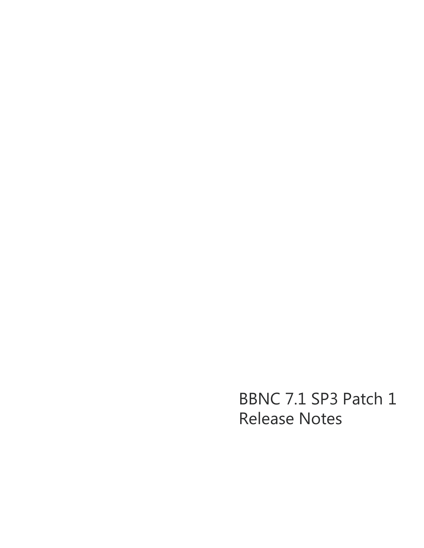BBNC 7.1 SP3 Patch 1 Release Notes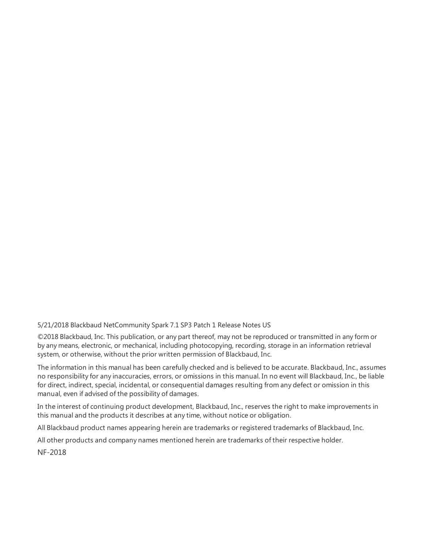5/21/2018 Blackbaud NetCommunity Spark 7.1 SP3 Patch 1 Release Notes US

©2018 Blackbaud, Inc. This publication, or any part thereof, may not be reproduced or transmitted in any form or by any means, electronic, or mechanical, including photocopying, recording, storage in an information retrieval system, or otherwise, without the prior written permission of Blackbaud, Inc.

The information in this manual has been carefully checked and is believed to be accurate. Blackbaud, Inc., assumes no responsibility for any inaccuracies, errors, or omissions in this manual. In no event will Blackbaud, Inc., be liable for direct, indirect, special, incidental, or consequential damages resulting from any defect or omission in this manual, even if advised of the possibility of damages.

In the interest of continuing product development, Blackbaud, Inc., reserves the right to make improvements in this manual and the products it describes at any time, without notice or obligation.

All Blackbaud product names appearing herein are trademarks or registered trademarks of Blackbaud, Inc.

All other products and company names mentioned herein are trademarks of their respective holder.

NF-2018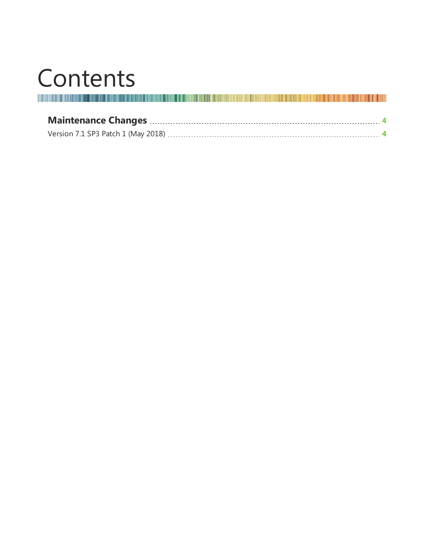## Contents